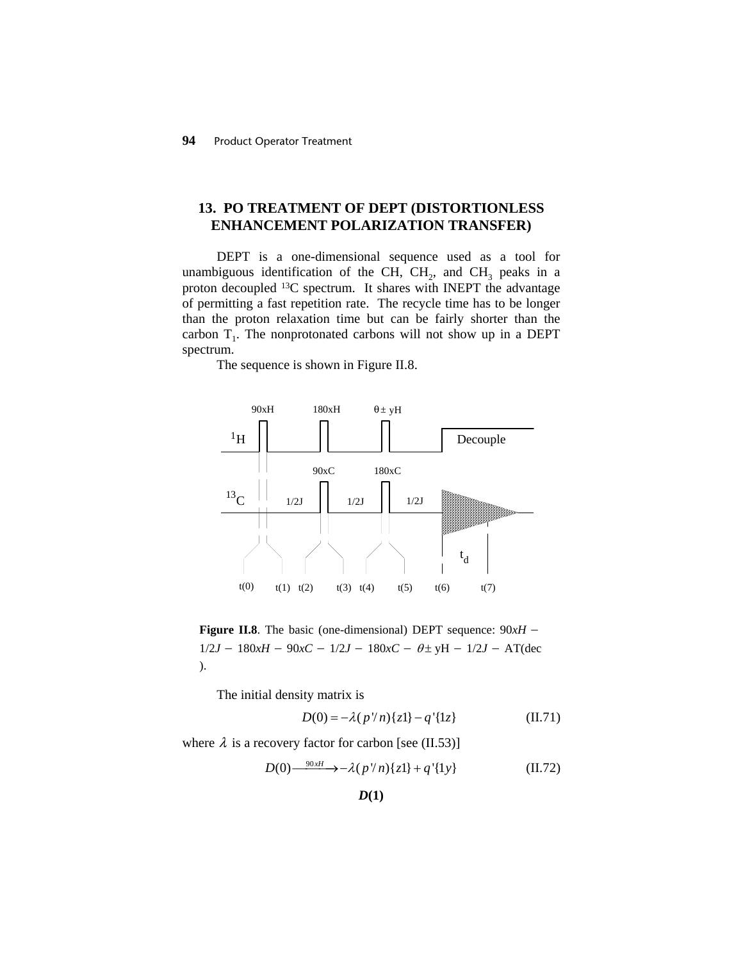## **13. PO TREATMENT OF DEPT (DISTORTIONLESS ENHANCEMENT POLARIZATION TRANSFER)**

DEPT is a one-dimensional sequence used as a tool for unambiguous identification of the CH, CH<sub>2</sub>, and CH<sub>3</sub> peaks in a proton decoupled 13C spectrum. It shares with INEPT the advantage of permitting a fast repetition rate. The recycle time has to be longer than the proton relaxation time but can be fairly shorter than the carbon  $T_1$ . The nonprotonated carbons will not show up in a DEPT spectrum.

The sequence is shown in Figure II.8.



**Figure II.8**. The basic (one-dimensional) DEPT sequence: 90*xH* −  $1/2J - 180xH - 90xC - 1/2J - 180xC - \theta \pm yH - 1/2J - AT(\theta c)$ ).

The initial density matrix is

$$
D(0) = -\lambda (p''/n) \{z\} - q' \{1z\}
$$
 (II.71)

where  $\lambda$  is a recovery factor for carbon [see (II.53)]

$$
D(0) \xrightarrow{\quad 90 \times H \quad} -\lambda (p \nmid n) \{z1\} + q \{1y\} \tag{II.72}
$$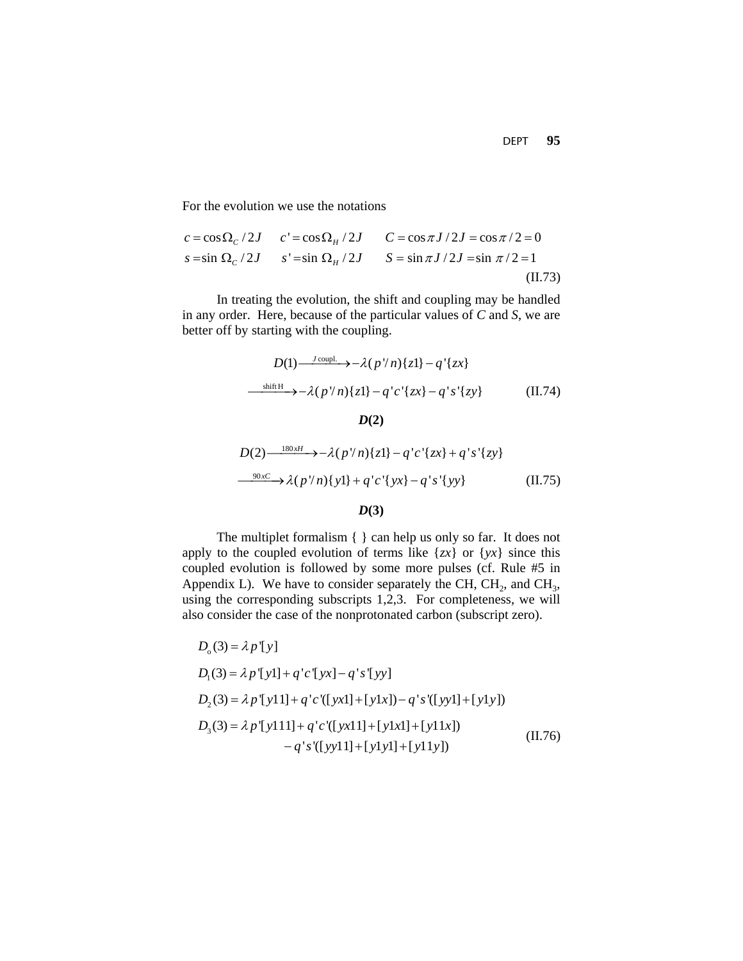DEPT **95**

For the evolution we use the notations

$$
c = \cos \Omega_c / 2J \qquad c' = \cos \Omega_H / 2J \qquad C = \cos \pi J / 2J = \cos \pi / 2 = 0
$$
  

$$
s = \sin \Omega_c / 2J \qquad s' = \sin \Omega_H / 2J \qquad S = \sin \pi J / 2J = \sin \pi / 2 = 1
$$
  
(II.73)

In treating the evolution, the shift and coupling may be handled in any order. Here, because of the particular values of *C* and *S*, we are better off by starting with the coupling.

$$
D(1) \xrightarrow{J \text{ coupl.}} -\lambda(p \, \text{'} n) \{z1\} - q' \{zx\}
$$
\n
$$
\xrightarrow{\text{shift H}} -\lambda(p \, \text{'} n) \{z1\} - q'c' \{zx\} - q' s' \{zy\} \tag{II.74}
$$

*D***(2)**

$$
D(2) \xrightarrow{\text{180} \times H} -\lambda (p \, 'n) \{z1\} - q \, 'c \, ' \{zx\} + q \, 's \, ' \{zy\}
$$
\n
$$
\xrightarrow{\text{90} \times C} \lambda (p \, 'n) \{y1\} + q \, 'c \, ' \{yx\} - q \, 's \, ' \{yy\} \tag{II.75}
$$

## *D***(3)**

The multiplet formalism { } can help us only so far. It does not apply to the coupled evolution of terms like  $\{zx\}$  or  $\{yx\}$  since this coupled evolution is followed by some more pulses (cf. Rule #5 in Appendix L). We have to consider separately the CH, CH<sub>2</sub>, and CH<sub>3</sub>, using the corresponding subscripts 1,2,3. For completeness, we will also consider the case of the nonprotonated carbon (subscript zero).

$$
D_0(3) = \lambda p'[y]
$$
  
\n
$$
D_1(3) = \lambda p'[y1] + q'c'[yx] - q's'[yy]
$$
  
\n
$$
D_2(3) = \lambda p'[y11] + q'c'([yx1] + [y1x]) - q's'([yy1] + [y1y])
$$
  
\n
$$
D_3(3) = \lambda p'[y111] + q'c'([yx11] + [y1x1] + [y11x])
$$
  
\n
$$
-q's'([yy11] + [y1y1] + [y11y])
$$
\n(II.76)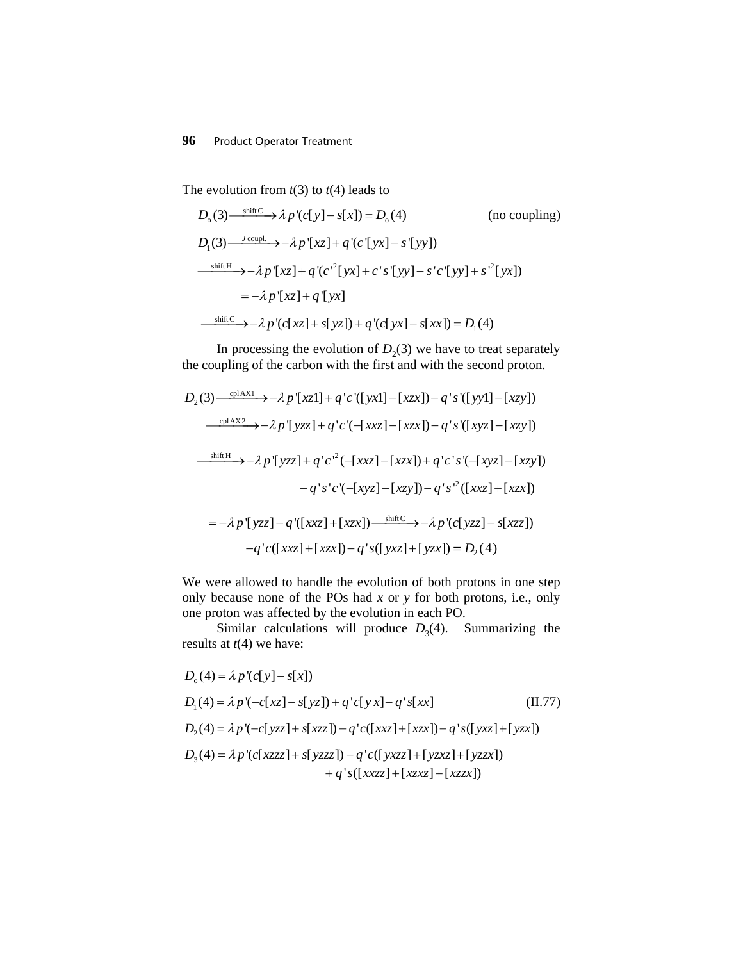## **96** Product Operator Treatment

The evolution from  $t(3)$  to  $t(4)$  leads to

$$
D_0(3) \xrightarrow{\text{shift C}} \lambda p'(c[y] - s[x]) = D_0(4) \qquad \text{(no coupling)}
$$
  
\n
$$
D_1(3) \xrightarrow{J \text{coupl.}} -\lambda p'[xz] + q'(c'[yx] - s'[yy])
$$
  
\n
$$
\xrightarrow{\text{shift H}} -\lambda p'[xz] + q'(c'^2[yx] + c's'[yy] - s'c'[yy] + s'^2[yx])
$$
  
\n
$$
= -\lambda p'[xz] + q'[yx]
$$
  
\n
$$
\xrightarrow{\text{shift C}} -\lambda p'(c[xz] + s[yz]) + q'(c[yx] - s[xx]) = D_1(4)
$$

In processing the evolution of  $D_2(3)$  we have to treat separately the coupling of the carbon with the first and with the second proton.

$$
D_2(3) \xrightarrow{\text{cplAX1}} \rightarrow \neg \lambda p \text{ [xz1]} + q'c'([\text{yx1}] - [\text{xzx}]) - q' s'([\text{yy1}] - [\text{xzy}])
$$
\n
$$
\xrightarrow{\text{cplAX2}} \rightarrow \neg \lambda p \text{ [yzz]} + q'c'(-[\text{xxz}] - [\text{xzx}]) - q' s'([\text{xyz}] - [\text{xzy}])
$$
\n
$$
\xrightarrow{\text{shiftH}} \rightarrow \neg \lambda p \text{ [yzz]} + q'c'^2(-[\text{xxz}] - [\text{xzx}]) + q'c' s'(-[\text{xyz}] - [\text{xzy}])
$$
\n
$$
- q' s'c'(-[\text{xyz}] - [\text{xzy}]) - q' s'^2([\text{xxz}] + [\text{xzx}])
$$
\n
$$
= \neg \lambda p \text{ [yzz]} - q'([\text{xxz}] + [\text{xzx}]) - \xrightarrow{\text{shiftC}} \neg \lambda p'(\text{c}[yzz] - s[\text{xzz}])
$$
\n
$$
-q'c([\text{xxz}] + [\text{xzx}]) - q' s([\text{yxz}] + [\text{yzx}]) = D_2(4)
$$

We were allowed to handle the evolution of both protons in one step only because none of the POs had *x* or *y* for both protons, i.e., only one proton was affected by the evolution in each PO.

Similar calculations will produce  $D_3(4)$ . Summarizing the results at *t*(4) we have:

$$
D_0(4) = \lambda p'(c[y] - s[x])
$$
  
\n
$$
D_1(4) = \lambda p'(-c[xz] - s[yz]) + q'c[yx] - q's[xx]
$$
 (II.77)  
\n
$$
D_2(4) = \lambda p'(-c[yzz] + s[xzz]) - q'c([xxz] + [xzx]) - q's([yxz] + [yzx])
$$
  
\n
$$
D_3(4) = \lambda p'(c[xzzz] + s[yzzz]) - q'c([yxzz] + [yzxz] + [yzzx])
$$
  
\n
$$
+ q's([xxzz] + [xzxz] + [xzxx])
$$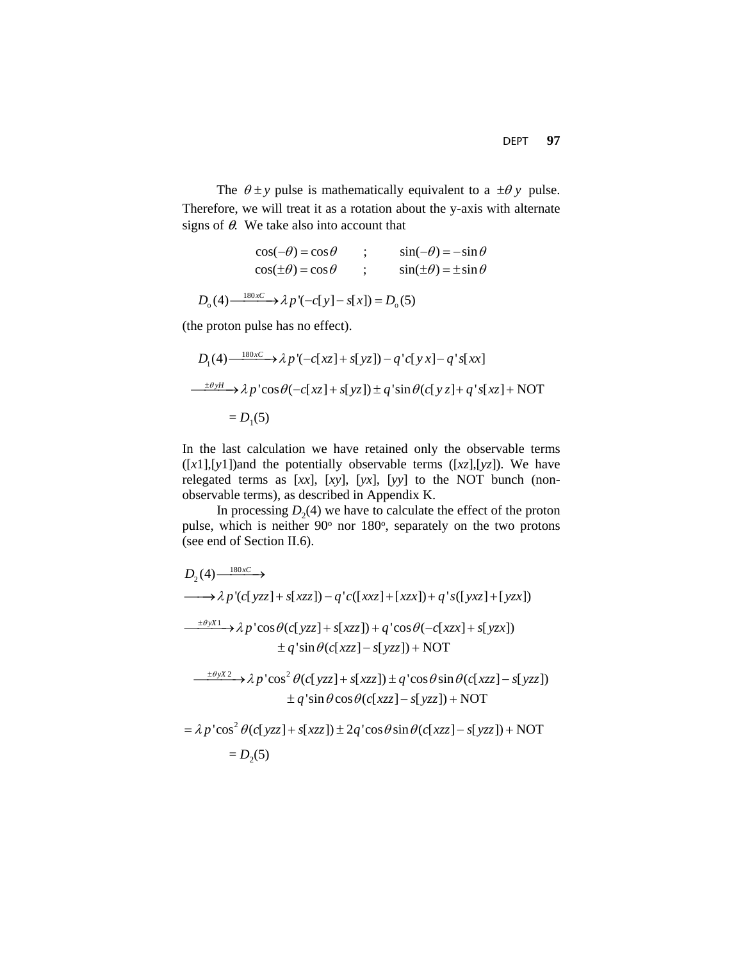The  $\theta \pm y$  pulse is mathematically equivalent to a  $\pm \theta y$  pulse. Therefore, we will treat it as a rotation about the y-axis with alternate signs of  $\theta$ . We take also into account that

> $\cos(-\theta) = \cos\theta$  ;  $\sin(-\theta) = -\sin\theta$  $\cos(\pm\theta) = \cos\theta$  ;  $\sin(\pm\theta) = \pm\sin\theta$

$$
D_{\text{o}}(4) \xrightarrow{180 \times C} \lambda p \left( -c[y] - s[x] \right) = D_{\text{o}}(5)
$$

(the proton pulse has no effect).

$$
D_1(4) \xrightarrow{\text{180xC}} \lambda p'(-c[xz] + s[yz]) - q'c[yx] - q' s[xx]
$$
  

$$
\xrightarrow{\pm \theta yH} \lambda p' \cos \theta(-c[xz] + s[yz]) \pm q' \sin \theta(c[yz] + q' s[xz] + \text{NOT}
$$
  

$$
= D_1(5)
$$

In the last calculation we have retained only the observable terms ([*x*1],[*y*1])and the potentially observable terms ([*xz*],[*yz*]). We have relegated terms as [*xx*], [*xy*], [*yx*], [*yy*] to the NOT bunch (nonobservable terms), as described in Appendix K.

In processing  $D_2(4)$  we have to calculate the effect of the proton pulse, which is neither 90° nor 180°, separately on the two protons (see end of Section II.6).

$$
D_2(4) \xrightarrow{\text{180xC}} \rightarrow
$$
\n
$$
\longrightarrow \lambda p'(c[yzz] + s[xzz]) - q'c([xxz] + [xzx]) + q' s([yxz] + [yzx])
$$
\n
$$
\xrightarrow{\pm \theta yX1} \lambda p' \cos \theta(c[yzz] + s[xzz]) + q' \cos \theta(-c[xzx] + s[yzx])
$$
\n
$$
\pm q' \sin \theta(c[xzz] - s[yzz]) + \text{NOT}
$$
\n
$$
\xrightarrow{\pm \theta yX2} \lambda p' \cos^2 \theta(c[yzz] + s[xzz]) \pm q' \cos \theta \sin \theta(c[xzz] - s[yzz])
$$
\n
$$
\pm q' \sin \theta \cos \theta(c[xzz] - s[yzz]) + \text{NOT}
$$
\n
$$
= \lambda p' \cos^2 \theta(c[yzz] + s[xzz]) \pm 2q' \cos \theta \sin \theta(c[xzz] - s[yzz]) + \text{NOT}
$$
\n
$$
= D_2(5)
$$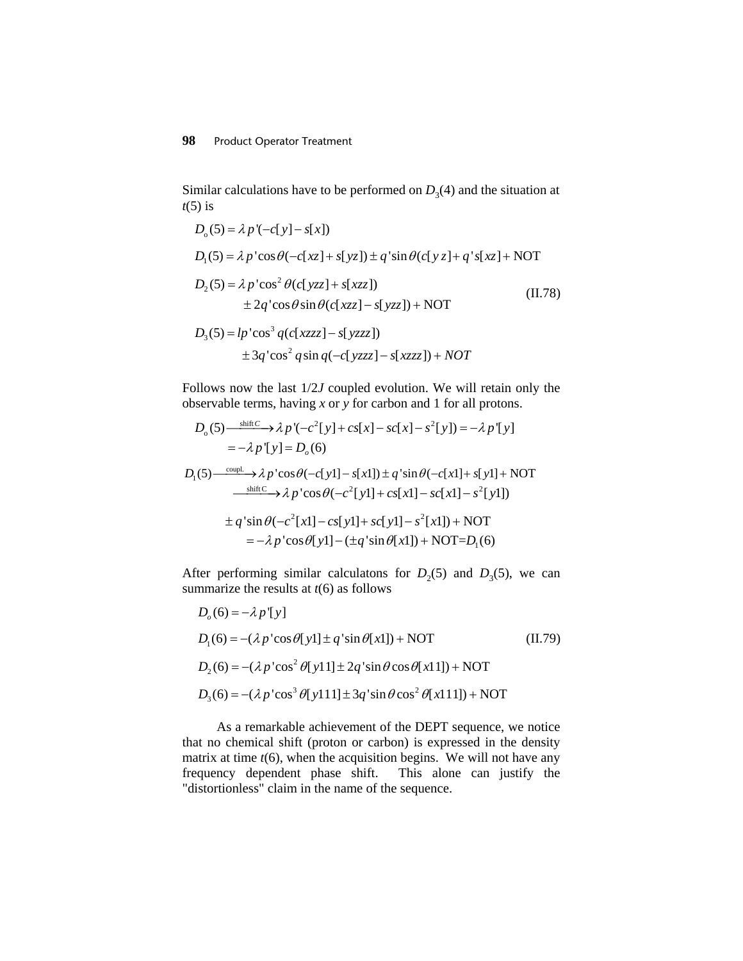## **98** Product Operator Treatment

Similar calculations have to be performed on  $D_3(4)$  and the situation at  $t(5)$  is

$$
D_0(5) = \lambda p'(-c[y] - s[x])
$$
  
\n
$$
D_1(5) = \lambda p' \cos \theta(-c[xz] + s[yz]) \pm q' \sin \theta(c[yz] + q' s[xz] + NOT
$$
  
\n
$$
D_2(5) = \lambda p' \cos^2 \theta(c[yzz] + s[xzz])
$$
  
\n
$$
\pm 2q' \cos \theta \sin \theta(c[xzz] - s[yzz]) + NOT
$$
  
\n
$$
D_3(5) = lp' \cos^3 q(c[xzzz] - s[yzzz])
$$
  
\n
$$
\pm 3q' \cos^2 q \sin q(-c[yzzz] - s[xzzz]) + NOT
$$

Follows now the last 1/2*J* coupled evolution. We will retain only the observable terms, having *x* or *y* for carbon and 1 for all protons.

$$
D_0(5) \xrightarrow{\text{shift } C} \lambda p'(-c^2[y] + cs[x] - sc[x] - s^2[y]) = -\lambda p'[y]
$$
  
\n
$$
= -\lambda p'[y] = D_0(6)
$$
  
\n
$$
D_1(5) \xrightarrow{\text{coupL}} \lambda p' \cos \theta(-c[y1] - s[x1]) \pm q' \sin \theta(-c[x1] + s[y1] + \text{NOT}
$$
  
\n
$$
\xrightarrow{\text{shift } C} \lambda p' \cos \theta(-c^2[y1] + cs[x1] - sc[x1] - s^2[y1])
$$
  
\n
$$
\pm q' \sin \theta(-c^2[x1] - cs[y1] + sc[y1] - s^2[x1]) + \text{NOT}
$$
  
\n
$$
= -\lambda p' \cos \theta[y1] - (\pm q' \sin \theta[x1]) + \text{NOT} = D_1(6)
$$

After performing similar calculatons for  $D_2(5)$  and  $D_3(5)$ , we can summarize the results at *t*(6) as follows

$$
D_o(6) = -\lambda p'[y]
$$
  
\n
$$
D_1(6) = -(\lambda p' \cos \theta[y1] \pm q' \sin \theta[x1]) + NOT
$$
\n(II.79)  
\n
$$
D_2(6) = -(\lambda p' \cos^2 \theta[y11] \pm 2q' \sin \theta \cos \theta[x11]) + NOT
$$
  
\n
$$
D_3(6) = -(\lambda p' \cos^3 \theta[y111] \pm 3q' \sin \theta \cos^2 \theta[x111]) + NOT
$$

As a remarkable achievement of the DEPT sequence, we notice that no chemical shift (proton or carbon) is expressed in the density matrix at time  $t(6)$ , when the acquisition begins. We will not have any frequency dependent phase shift. This alone can justify the "distortionless" claim in the name of the sequence.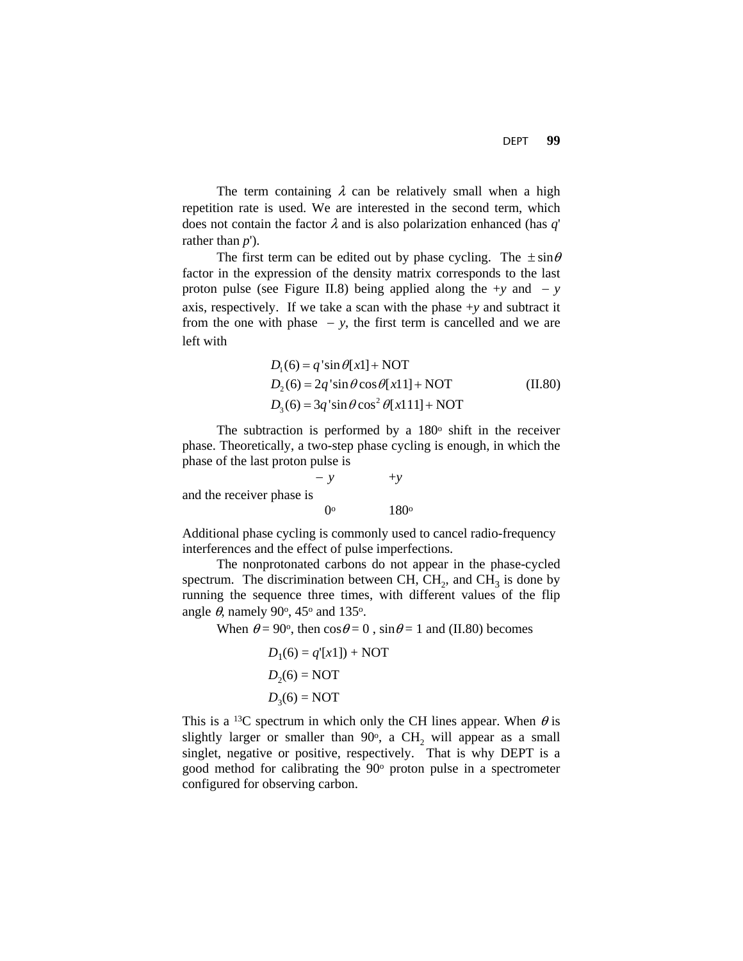The term containing  $\lambda$  can be relatively small when a high repetition rate is used. We are interested in the second term, which does not contain the factor  $\lambda$  and is also polarization enhanced (has  $q'$ ) rather than *p*').

The first term can be edited out by phase cycling. The  $\pm \sin \theta$ factor in the expression of the density matrix corresponds to the last proton pulse (see Figure II.8) being applied along the +*y* and  $-y$ axis, respectively. If we take a scan with the phase +*y* and subtract it from the one with phase  $- y$ , the first term is cancelled and we are left with

$$
D_1(6) = q' \sin \theta[x1] + NOT
$$
  
\n
$$
D_2(6) = 2q' \sin \theta \cos \theta[x11] + NOT
$$
  
\n
$$
D_3(6) = 3q' \sin \theta \cos^2 \theta[x111] + NOT
$$
 (II.80)

The subtraction is performed by a  $180^\circ$  shift in the receiver phase. Theoretically, a two-step phase cycling is enough, in which the phase of the last proton pulse is

$$
- y + y
$$
  
and the receiver phase is  

$$
0^{\circ}
$$
 180°

Additional phase cycling is commonly used to cancel radio-frequency interferences and the effect of pulse imperfections.

The nonprotonated carbons do not appear in the phase-cycled spectrum. The discrimination between CH,  $CH<sub>2</sub>$ , and  $CH<sub>3</sub>$  is done by running the sequence three times, with different values of the flip angle  $\theta$ , namely 90 $\degree$ , 45 $\degree$  and 135 $\degree$ .

When  $\theta = 90^{\circ}$ , then  $\cos \theta = 0$ ,  $\sin \theta = 1$  and (II.80) becomes

$$
D_1(6) = q'[x1]) + NOT
$$
  

$$
D_2(6) = NOT
$$
  

$$
D_3(6) = NOT
$$

and the receiver phase is

This is a <sup>13</sup>C spectrum in which only the CH lines appear. When  $\theta$  is slightly larger or smaller than  $90^\circ$ , a CH<sub>2</sub> will appear as a small singlet, negative or positive, respectively. That is why DEPT is a good method for calibrating the  $90^\circ$  proton pulse in a spectrometer configured for observing carbon.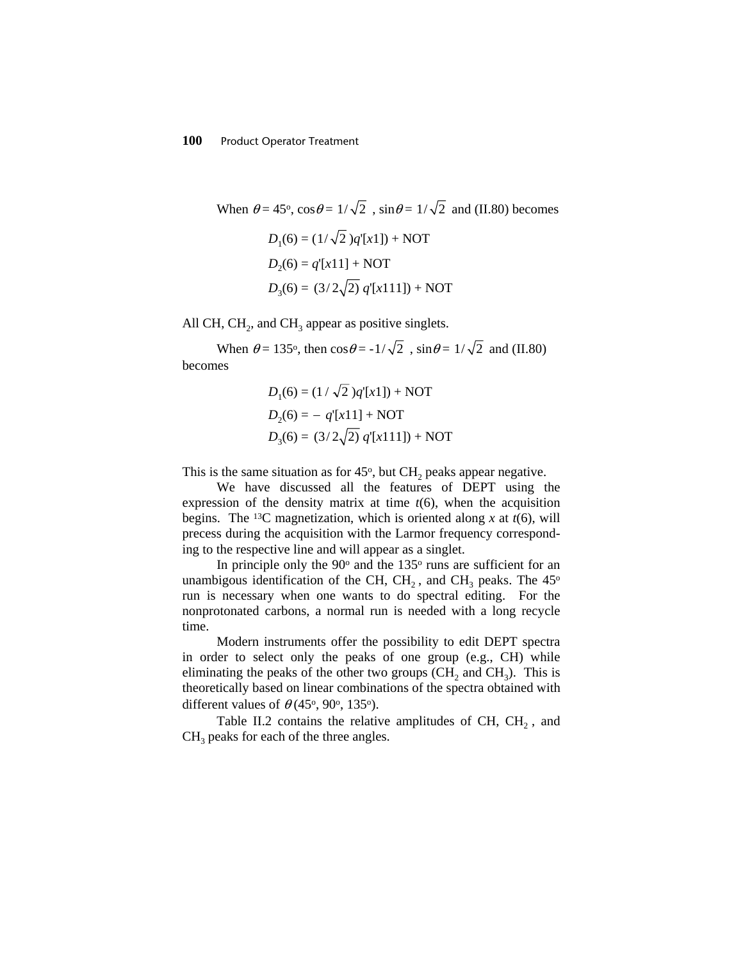When 
$$
\theta = 45^{\circ}
$$
,  $\cos \theta = 1/\sqrt{2}$ ,  $\sin \theta = 1/\sqrt{2}$  and (II.80) becomes  
\n
$$
D_1(6) = (1/\sqrt{2})q'[x1] + NOT
$$
\n
$$
D_2(6) = q'[x11] + NOT
$$
\n
$$
D_3(6) = (3/2\sqrt{2})q'[x111] + NOT
$$

All CH, CH<sub>2</sub>, and CH<sub>3</sub> appear as positive singlets.

When  $\theta = 135^{\circ}$ , then  $\cos \theta = -1/\sqrt{2}$ ,  $\sin \theta = 1/\sqrt{2}$  and (II.80) becomes

$$
D_1(6) = (1 / \sqrt{2})q'[x1]) + NOT
$$
  
\n
$$
D_2(6) = -q'[x11] + NOT
$$
  
\n
$$
D_3(6) = (3/2\sqrt{2})q'[x111]) + NOT
$$

This is the same situation as for  $45^{\circ}$ , but CH<sub>2</sub> peaks appear negative.

We have discussed all the features of DEPT using the expression of the density matrix at time  $t(6)$ , when the acquisition begins. The <sup>13</sup>C magnetization, which is oriented along *x* at  $t(6)$ , will precess during the acquisition with the Larmor frequency corresponding to the respective line and will appear as a singlet.

In principle only the  $90^\circ$  and the  $135^\circ$  runs are sufficient for an unambigous identification of the CH, CH<sub>2</sub>, and CH<sub>3</sub> peaks. The  $45^\circ$ run is necessary when one wants to do spectral editing. For the nonprotonated carbons, a normal run is needed with a long recycle time.

Modern instruments offer the possibility to edit DEPT spectra in order to select only the peaks of one group (e.g., CH) while eliminating the peaks of the other two groups  $(CH_2$  and  $CH_3)$ . This is theoretically based on linear combinations of the spectra obtained with different values of  $\theta$  (45<sup>o</sup>, 90<sup>o</sup>, 135<sup>o</sup>).

Table II.2 contains the relative amplitudes of  $CH$ ,  $CH<sub>2</sub>$ , and  $CH<sub>3</sub>$  peaks for each of the three angles.